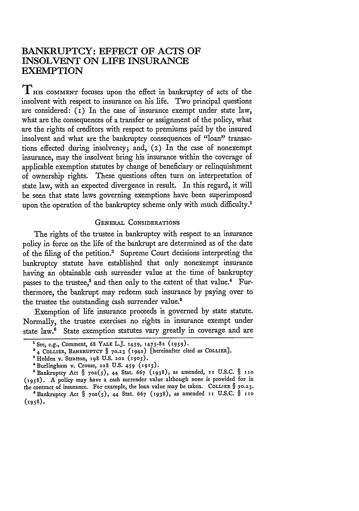# **BANKRUPTCY: EFFECT OF ACTS OF INSOLVENT ON LIFE INSURANCE EXEMPTION**

THIS COMMENT focuses upon the effect in bankruptcy of acts of the insolvent with respect to insurance on his life. Two principal questions are considered: (I) In the case of insurance exempt under state law, what are the consequences of a transfer or assignment of the policy, what are the rights of creditors with respect to premiums paid **by** the insured insolvent and what are the bankruptcy consequences of "loan" transactions effected during insolvency; and, (2) In the case of nonexempt insurance, may the insolvent bring his insurance within the coverage of applicable exemption statutes **by** change of beneficiary or relinquishment of ownership rights. These questions often turn on interpretation of state law, with an expected divergence in result. In this regard, it will be seen that state laws governing exemptions have been superimposed upon the operation of the bankruptcy scheme only with much difficulty.<sup>1</sup>

#### GENERAL CONSIDERATIONS

The rights of the trustee in bankruptcy with respect to an insurance policy in force on the life of the bankrupt are determined as of the date of the filing of the petition.2 Supreme Court decisions interpreting the bankruptcy statute have established that only nonexempt insurance having an obtainable cash surrender value at the time of bankruptcy passes to the trustee,<sup>3</sup> and then only to the extent of that value.<sup>4</sup> Furthermore, the bankrupt may redeem such insurance **by** paying over to the trustee the outstanding cash surrender value.<sup>5</sup>

Exemption of life insurance proceeds is governed by state statute. Normally, the trustee exercises no rights in insurance exempt under state law.<sup>6</sup> State exemption statutes vary greatly in coverage and are

<sup>&#</sup>x27;See, e.g., Comment, **68** YALE L.J. **1459, 1475-82 (959).**

<sup>&</sup>lt;sup>2</sup> 4 COLLIER, BANKRUPTCY § 70.23 (1942) [hereinafter cited as COLLIER].

<sup>&</sup>lt;sup>8</sup> Holden v. Stratton, 198 U.S. 202 (1905).

<sup>&#</sup>x27;Burlingham v. Crouse, **228 U.S.** 4-59 (x913).

<sup>&#</sup>x27;Bankruptcy Act **§** 7oa(5), 44 Stat. 667 (1938), as amended, **ii U.S.C. §** iio **(1958). A** policy may have a cash surrender value although none is provided for in the contract of insurance. For example, the loan value may be taken. **COLLIER § 70.23.**

<sup>&</sup>quot;Bankruptcy Act **§** 70a(5), 44 Stat. 667 (1938), as amended ii **U.S.C. §** iio **(1958).**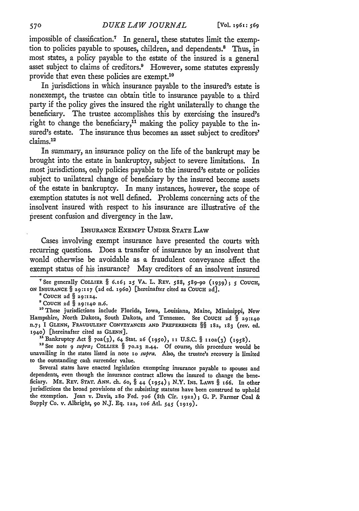impossible of classification.<sup>7</sup> In general, these statutes limit the exemption to policies payable to spouses, children, and dependents.8 Thus, in most states, a policy payable to the estate of the insured is a general asset subject to claims of creditors.<sup>9</sup> However, some statutes expressly provide that even these policies are exempt.'0

In jurisdictions in which insurance payable to the insured's estate is nonexempt, the trustee can obtain title to insurance payable to a third party if the policy gives the insured the right unilaterally to change the beneficiary. The trustee accomplishes this by exercising the insured's right to change the beneficiary,<sup>11</sup> making the policy payable to the insured's estate. The insurance thus becomes an asset subject to creditors' claims.<sup>12</sup>

In summary, an insurance policy on the life of the bankrupt may be brought into the estate in bankruptcy, subject to severe limitations. In most jurisdictions, only policies payable to the insured's estate or policies subject to unilateral change of beneficiary by the insured become assets of the estate in bankruptcy. In many instances, however, the scope of exemption statutes is not well defined. Problems concerning acts of the insolvent insured with respect to his insurance are illustrative of the present confusion and divergency in the law.

#### INSURANCE EXEMPT UNDER STATE LAW

Cases involving exempt insurance have presented the courts with recurring questions. Does a transfer of insurance by an insolvent that wonld otherwise be avoidable as a fraudulent conveyance affect the exempt status of his insurance? May creditors of an insolvent insured

" <sup>1</sup> Bankruptcy Act § 7oa(3), 64 Stat. **26 (195o),** ii **U.S.C.** § ixoa(3) **(1958).**

**<sup>12</sup>**See note *9 supra;* COLLIER § **70.23 n.44.** Of course, this procedure would bc unavailing in the states listed in note io *supra.* Also, the trustee's recovery is limited to the outstanding cash surrender value.

Several states have enacted legislation exempting insurance payable to spouses and dependents, even though the insurance contract allows the insured to change the beneficiary. ME. REV. **STAT.** *ANN.* ch. 6o, § 44 (1954)5 *N.Y.* INS. LAWS § *166.* In other jurisdictions the broad provisions of the subsisting statutes have been construed to uphold the exemption. Jean v. Davis, 280 Fed. **706** (8th Cir. **1922);** G. P. Farmer Coal & Supply Co. v. Albright, **9o** N.J. Eq. **122, 1o6** Atl. 545 **(1919).**

<sup>&</sup>quot;See generally COLLIER § **6.165 25 VA.** L. REV. 588, **589-90 (1939) ;** *5* **COUCH,** ON INSURANCE § 29:117 (2d ed. 1960) [hereinafter cited as COUCH 2d].<br>
<sup>8</sup> COUCH 2d § 29:124.<br>
<sup>9</sup> COUCH 2d § 29:140 n.6.

<sup>&</sup>lt;sup>10</sup> These jurisdictions include Florida, Iowa, Louisiana, Maine, Mississippi, New Hampshire, North Dakota, South Dakota, and Tennessee. See **COUCH 2d** § **29:140 n.75** I **GLENN, FRAUDULENT CONVEYANCES AND PREFERENCES** §§ **182, 183 (rev.** ed. **1940)** [hereinafter cited as **GLENN].**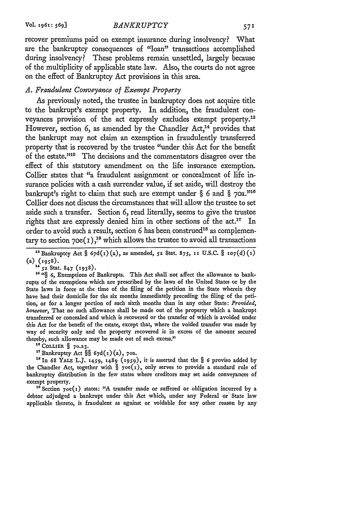recover premiums paid on exempt insurance during insolvency? What are the bankruptcy consequences of "loan" transactions accomplished during insolvency? These problems remain unsettled, largely because of the multiplicity of applicable state law. Also, the courts do not agree on the effect of Bankruptcy Act provisions in this area.

#### *A. Fraudulent Conveyance of Exempt Property*

As previously noted, the trustee in bankruptcy does not acquire title to the bankrupt's exempt property. In addition, the fraudulent conveyances provision of the act expressly excludes exempt property.<sup>13</sup> However, section 6, as amended by the Chandler  $Act<sub>14</sub>$  provides that the bankrupt may not claim an exemption in fraudulently transferred property that is recovered by the trustee "under this Act for the benefit of the estate. $10^{15}$  The decisions and the commentators disagree over the effect of this statutory amendment on the life insurance exemption. Collier states that "a fraudulent assignment or concealment of life insurance policies with a cash surrender value, if set aside, will destroy the bankrupt's right to claim that such are exempt under  $\S$  6 and  $\S$  70a.<sup> $108$ </sup> Collier does not discuss the circumstances that will allow the trustee to set aside such a transfer. Section 6, read literally, seems to give the trustee rights that are expressly denied him in other sections of the  $act.^{17}$  In order to avoid such a result, section 6 has been construed<sup>18</sup> as complementary to section 70e( $i$ ),<sup>19</sup> which allows the trustee to avoid all transactions

<sup>13</sup> Bankruptcy Act §  $67d(1)(a)$ , as amended, 52 Stat. 875, 11 U.S.C. § 107(d)(1)  $(a)$  (1958).

**14 52** Stat. 847 **(1938)-**

<sup>16 *i*c</sup>§ 6, Exemptions of Bankrupts. This Act shall not affect the allowance to bankrupts of the exemptions which are prescribed by the laws of the United States or by the State laws in force at the time of the filing of the petition in the State wherein they have had their domicile for the six months immediately preceding the filing of the petition, or for a longer portion of such sixth months than in any other State: *Provided, however,* That no such allowance shall be made out of the property which a bankrupt transferred or concealed and which is recovered or the transfer of which is avoided under this Act for the benefit of the estate, except that, where the voided transfer was made by way of security only and the property recovered is in excess of the amount secured thereby, such allowance may be made out of such excess."

**16 COLLIER § 70.z3.**

**1?** Bankruptcy Act §§ 67d(i) (a), 7oa.

**"In 68 YALE** LJ. **1459,** 1489 **(1959),** it is asserted that the § **6** proviso added by the Chandler Act, together with  $\S$  70e(1), only serves to provide a standard rule of bankruptcy distribution in the few states where creditors may set aside conveyances of exempt property.

**1** Section 7oe(i) states: "A transfer made or suffered or obligation incurred **by** a debtor adjudged a bankrupt under this Act which, under any Federal or' State law applicable thereto, is fraudulent as against or voidable for any other reason **by** any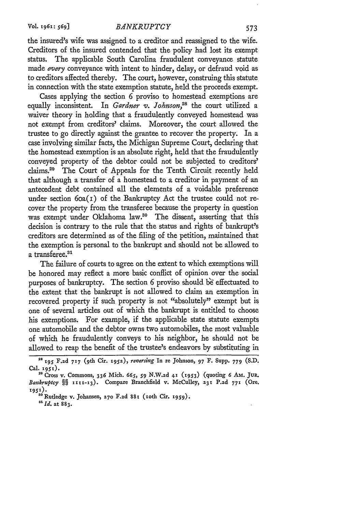the insured's wife was assigned to a creditor and reassigned to the wife. Creditors of the insured contended that the policy had lost its exempt status. The applicable South Carolina fraudulent conveyance statute made *every* conveyance with intent to hinder, delay, or defraud void as to creditors affected thereby. The court, however, construing this statute in connection with the state exemption statute, held the proceeds exempt.

Cases applying the section 6 proviso to homestead exemptions are equally inconsistent. In *Gardner* **v.** *Johnson,28* the court utilized a waiver theory in holding that a fraudulently conveyed homestead was not exempt from creditors' claims. Moreover, the court allowed the trustee to go directly against the grantee to recover the property. In a case involving similar facts, the Michigan Supreme Court, declaring that the homestead exemption is an absolute right, held that the fraudulently conveyed property of the debtor could not be subjected to creditors' claims. 29 The Court of Appeals for the Tenth Circuit recently held that although a transfer of a homestead to a creditor in payment of an antecedent debt contained all the elements of a voidable preference under section  $60a(1)$  of the Bankruptcy Act the trustee could not recover the property from the transferee because the property in question was exempt under Oklahoma law.<sup>30</sup> The dissent, asserting that this decision is contrary to the rule that the status and rights of bankrupt's creditors are determined as of the filing of the petition, maintained that the exemption is personal to the bankrupt and should not be allowed to a transferee.<sup>31</sup>

The failure of courts to agree on the extent to which exemptions will be honored may reflect a more basic conflict of opinion over the social purposes of bankruptcy. The section 6 proviso should be effectuated to the extent that the bankrupt is not allowed to claim an exemption in recovered property if such property is not "absolutely" exempt but is one of several articles out of which the bankrupt is entitled to choose his exemptions. For example, if the applicable state statute exempts one automobile and the debtor owns two automobiles, the most valuable of which he fraudulently conveys to his neighbor, he should not be allowed to reap the benefit of the trustee's endeavors by substituting in

*a'* **Id.** at **883.**

<sup>28</sup>**195 F.zd 717** ( 9th Cir. 1952), *reversing* **In re** Johnson, **97** F. **Supp. 779 (S.D.**

Cal. **951). 2'9** Cross **v.** Commons, **336 Mich.** *665, 59* **N.W.zd** 41 **(-953)** (quoting **6 AM. JuR.** *Bankruptcy §§* **'111-13).** Compare Branchfield **v. McCulley, 231 P.zd** *771* **(Ore. 1951).**

**<sup>&</sup>quot;Rutledge v.** Johansen, **270 F.zd** 881 (oth **Cir. 1959).**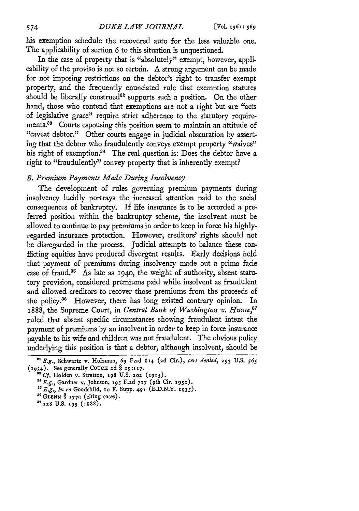his exemption schedule the recovered auto for the less valuable one. The applicability of section 6 to this situation is unquestioned.

In the case of property that is "absolutely" exempt, however, applicability of the proviso is not so certain. A strong argument can be made for not imposing restrictions on the debtor's right to transfer exempt property, and the frequently enunciated rule that exemption statutes should be liberally construed<sup>32</sup> supports such a position. On the other hand, those who contend that exemptions are not a right but are "acts of legislative grace" require strict adherence to the statutory requirements.<sup>33</sup> Courts espousing this position seem to maintain an attitude of "caveat debtor." Other courts engage in judicial obscuration by asserting that the debtor who fraudulently conveys exempt property "waives" his right of exemption.<sup>34</sup> The real question is: Does the debtor have a right to "fraudulently" convey property that is inherently exempt?

### *B. Premium Payments Made During Insolvency*

The development of rules governing premium payments during insolvency lucidly portrays the increased attention paid to the social consequences of bankruptcy. If life insurance is to be accorded a preferred position within the bankruptcy scheme, the insolvent must be allowed to continue to pay premiums in order to keep in force his highlyregarded insurance protection. However, creditors' rights should not be disregarded in the process. Judicial attempts to balance these conflicting equities have produced divergent results. Early decisions held that payment of premiums during insolvency made out a prima facie case of fraud.<sup>35</sup> As late as 1940, the weight of authority, absent statutory provision, considered premiums paid while insolvent as fraudulent and allowed creditors to recover those premiums from the proceeds of the policy.36 However, there has long existed contrary opinion. In 1888, the Supreme Court, in *Central Bank of Washington v. Hume,"7* ruled that absent specific circumstances showing fraudulent intent the payment of premiums by an insolvent in order to keep in force insurance payable to his wife and children was not fraudulent. The obvious policy underlying this position is that a debtor, although insolvent, should be

574

**<sup>&</sup>quot;** *E.g.,* Schwartz v. Holzman, 69 **F.2d** 814 **(2d** Cir.), *cert denied,* **293 U.S.** *56S* (1934). See generally **COUCH 2d** § **29:117.**

*<sup>&</sup>quot; Cf.* Holden v. Stratton, **x98 U.S. 202 (1905).**

<sup>&</sup>lt;sup>34</sup> E.g., Gardner v. Johnson, 195 F.2d 717 (9th Cir. 1952).

*<sup>85</sup> E.g., In re* Goodchild, so F. Supp. **491** (E.D.N.Y. **1935).**

<sup>&</sup>lt;sup>36</sup> GLENN § 177a (citing cases).<br><sup>37</sup> 128 U.S. 195 (1888).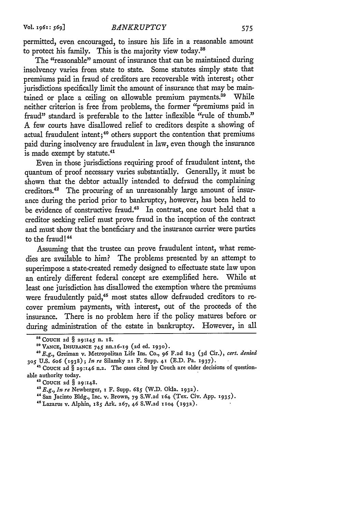permitted, even encouraged, to insure his life in a reasonable amount to protect his family. This is the majority view today.<sup>38</sup>

The "reasonable" amount of insurance that can be maintained during insolvency varies from state to state. Some statutes simply state that premiums paid in fraud of creditors are recoverable with interest; other jurisdictions specifically limit the amount of insurance that may be maintained or place a ceiling on allowable premium payments.<sup>39</sup> While neither criterion is free from problems, the former "premiums paid in fraud" standard is preferable to the latter inflexible "rule of thumb." A few courts have disallowed relief to creditors despite a showing of actual fraudulent intent; 40 others support the contention that premiums paid during insolvency are fraudulent in law, even though the insurance is made exempt by statute.<sup>41</sup>

Even in those jurisdictions requiring proof of fraudulent intent, the quantum of proof necessary varies substantially. Generally, it must be shown that the debtor actually intended to defraud the complaining creditors.<sup>42</sup> The procuring of an unreasonably large amount of insurance during the period prior to bankruptcy, however, has been held to be evidence of constructive fraud.<sup>43</sup> In contrast, one court held that a creditor seeking relief must prove fraud in the inception of the contract and must show that the beneficiary and the insurance carrier were parties to the fraud!<sup>44</sup>

Assuming that the trustee can prove fraudulent intent, what remedies are available to him? The problems presented by an attempt to superimpose a state-created remedy designed to effectuate state law upon an entirely different federal concept are exemplified here. While at least one jurisdiction has disallowed the exemption where the premiums were fraudulently paid,<sup>45</sup> most states allow defrauded creditors to recover premium payments, with interest, out of the proceeds of the insurance. There is no problem here if the policy matures before or during administration of the estate in bankruptcy. However, in all

<sup>&</sup>lt;sup>38</sup> COUCH 2d § 29:145 n. 18

**<sup>&#</sup>x27;**

**<sup>9</sup> VANCE, INSURANCE 745** nn.16-19 **(2d** ed. **1930). "E.g.,** Greiman v. Metropolitan Life Ins. Co., **96 F.2d 823 ( <sup>3</sup> <sup>d</sup>**Cir.), *cert. denied* **305 U.S. 6o6** (938) **;** *In re* Silansky **21** F. Supp. **41 (E.D.** Pa. **1937).**

<sup>&</sup>lt;sup>41</sup> COUCH 2d § 29:146 n.2. The cases cited by Couch are older decisions of questionable authority today.

**<sup>&#</sup>x27; <sup>2</sup> COUCH** zd **§ 29:148.**

*<sup>&#</sup>x27; <sup>3</sup> E.g., In re* Newberger, a F. Supp. *685* (W.D. Okla. **1932).**

<sup>&</sup>quot;San Jacinto **Bldg.,** Inc. v. Brown, 79 **S.W.2d** 164 (Tex. Civ. App. **1935).**

<sup>&#</sup>x27; <sup>5</sup> Lazarus v. Alphin, x8 Ark. 267, **46 S.W.2d 11o4 (932).**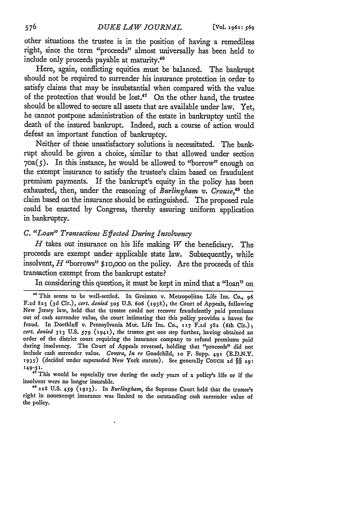other situations the trustee is in the position of having a remediless right, since the term "proceeds" almost universally has been held to include only proceeds payable at maturity.<sup>46</sup>

Here, again, conflicting equities must be balanced. The bankrupt should not be required to surrender his insurance protection in order to satisfy claims that may be insubstantial when compared with the value of the protection that would be lost. $47$  On the other hand, the trustee should be allowed to secure all assets that are available under law. Yet, he cannot postpone administration of the estate in bankruptcy until the death of the insured bankrupt. Indeed, such a course of action would defeat an important function of bankruptcy.

Neither of these unsatisfactory solutions is necessitated. The bankrupt should be given a choice, similar to that allowed under section  $70a(5)$ . In this instance, he would be allowed to "borrow" enough on the exempt insurance to satisfy the trustee's claim based on fraudulent premium payments. If the bankrupt's equity in the policy has been exhausted, then, under the reasoning of *Burlingham v. Crouse,48* the claim based on the insurance should be extinguished. The proposed rule could be enacted by Congress, thereby assuring uniform application in bankruptcy.

## *C. "Loan" Transactions Effected During Insolvency*

*H* takes out insurance on his life making *W* the beneficiary. The proceeds are exempt under applicable state law. Subsequently, while insolvent, *H* "borrows" \$io,ooo on the policy. Are the proceeds of this transaction exempt from the bankrupt estate?

In considering this question, it must be kept in mind that a "loan" on

insolvent were no longer insurable.

**A8 228** U.S. **459 (1x93)-** In *Burlingham,* the Supreme Court held that the trustee's right in nonexempt insurance was limited to the outstanding cash surrender value of the policy.

<sup>&</sup>lt;sup>46</sup> This seems to be well-settled. In Greiman v. Metropolitan Life Ins. Co., 96 F.zd **823 (3d** Cir.), *cert. denied* **305** U.S. 6o6 **(1938),** the Court of Appeals, following New Jersey law, held that the trustee could not recover fraudulently paid premiums out of cash surrender value, the court intimating that this policy provides a haven for fraud. In Doethlaff v. Pennsylvania Mut. Life Ins. Co., **117** F.2d **582** (6th Cir.); *cert. denied* **33** U.S. *579* **(i94x),** the trustee got one step further, having obtained an order of the district court requiring the insurance company to refund premiums paid during insolvency. The Court of Appeals reversed, holding that "proceeds" did not include cash surrender value. *Contra, In re* Goodchild, **1o** F. Supp. 491 (E.D.N.Y. **1935)** (decided under superseded New York statute). See generally **COUCH 2d** §§ **29: 149-51.** "7 This would be especially true during the early years of a policy's life or if the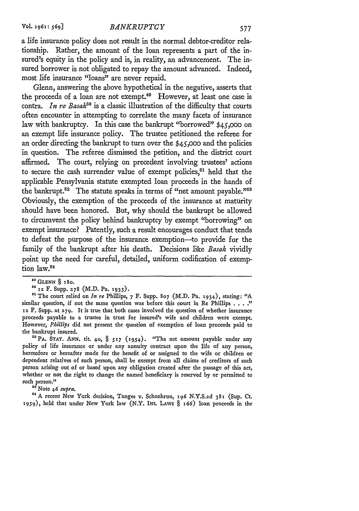a life insurance policy does not result in the normal debtor-creditor relationship. Rather, the amount of the loan represents a part of the insured's equity in the policy and is, in reality, an advancement. The insured borrower is not obligated to repay the amount advanced. Indeed, most life insurance "loans" are never repaid.

Glenn, answering the above hypothetical in the negative, asserts that the proceeds of a loan are not exempt.49 However, at least one case is contra. *In* re *Basak0* is a classic illustration of the difficulty that courts often encounter in attempting to correlate the many facets of insurance law with bankruptcy. In this case the bankrupt "borrowed" \$45,000 on an exempt life insurance policy. The trustee petitioned the referee for an order directing the bankrupt to turn over the \$45,000 and the policies in question. The referee dismissed the petition, and the district court affirmed. The court, relying on precedent involving trustees' actions to secure the cash surrender value of exempt policies,<sup>51</sup> held that the applicable Pensylvania statute exempted loan proceeds in the hands of the bankrupt.<sup>52</sup> The statute speaks in terms of "net amount payable."<sup>53</sup> Obviously, the exemption of the proceeds of the insurance at maturity should have been honored. But, why should the bankrupt be allowed to circumvent the policy behind bankruptcy by exempt "borrowing" on exempt insurance? Patently, such **a** result encourages conduct that tends to defeat the purpose of the insurance exemption-to provide for the family of the bankrupt after his death. Decisions like *Basak* vividly point up the need for careful, detailed, uniform codification of exemption law.<sup>54</sup>

**"GLENN** § **ISO.**

r2PA. **STAT. ANN.** tit. **40,** § **517** (1954). "The net amount payable under any policy of life insurance or under any annuity contract upon the life of any person, heretofore or hereafter made for the benefit of or assigned to the wife or children or dependent relatives of such person, shall be exempt from all claims of creditors of such person arising out of or based upon any obligation created after the passage of this act, whether or not the right to change the named beneficiary is reserved by or permitted to such person."

 $^{55}$ Note 46 supra.

"A recent New York decision, Tanges v. Schonbrun, 196 N.Y.S.zd **381** (Sup. Ct. **1959),** held that under New York law (N.Y. INs. LAws § 166) loan proceeds in the

**IS** iz F. Supp. *z78* (M.D. Pa. **1935).**

**<sup>&</sup>quot;** The court relied on *In re* Phillips, 7 F. Supp. **807** (M.D. Pa. **1934),** stating: **"A** similar question, if not the same question was before this court in Re Phillips . . . *? iz* F. Supp. at **279.** It is true that both cases involved the question of whether insurance proceeds payable to a trustee in trust for insured's wife and children were exempt. However, *Phillips* did not present the question of exemption of loan proceeds paid to the bankrupt insured.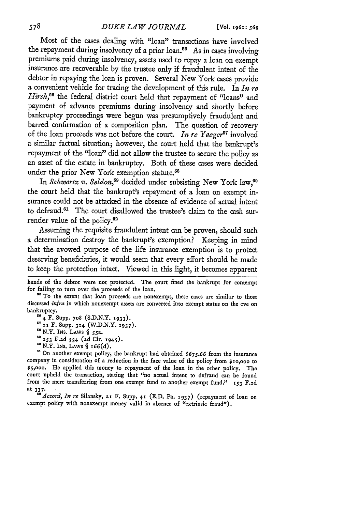Most of the cases dealing with "loan" transactions have involved the repayment during insolvency of a prior loan.<sup>55</sup> As in cases involving premiums paid during insolvency, assets used to repay a loan on exempt insurance are recoverable by the trustee only if fraudulent intent of the debtor in repaying the loan is proven. Several New York cases provide a convenient vehicle for tracing the development of this rule. In *In re* Hirsh,<sup>56</sup> the federal district court held that repayment of "loans" and payment of advance premiums during insolvency and shortly before bankruptcy proceedings were begun was presumptively fraudulent and barred confirmation of a composition plan. The question of recovery of the loan proceeds was not before the court. *In re Yaeger*<sup>57</sup> involved a similar factual situation; however, the court held that the bankrupt's repayment of the "loan" did not allow the trustee to secure the policy as an asset of the estate in bankruptcy. Both of these cases were decided under the prior New York exemption statute.<sup>58</sup>

In *Schwartz v. Seldon*,<sup>59</sup> decided under subsisting New York law,<sup>60</sup> the court held that the bankrupt's repayment of a loan on exempt insurance could not be attacked in the absence of evidence of actual intent to defraud.<sup>61</sup> The court disallowed the trustee's claim to the cash surrender value of the policy. $62$ 

Assuming the requisite fraudulent intent can be proven, should such a determination destroy the bankrupt's exemption? Keeping in mind that the avowed purpose of the life insurance exemption is to protect deserving beneficiaries, it would seem that every effort should be made to keep the protection intact. Viewed in this light, it becomes apparent

*<sup>58</sup>*N.Y. INS. LAWS § 55a. **<sup>o</sup>***i53* F.zd 334 **(2d** Cir. 1945). *<sup>0</sup>*N.Y. **INS.** LAWS § 166(d).

*"1* On another exempt policy, the bankrupt bad obtained **\$675.66** from the insurance company in consideration of a reduction in the face value of the policy from \$io,ooo to \$5,ooo. He applied this money to repayment of the loan in the other policy. The court upheld the transaction, stating that "no actual intent to defraud can be found from the mere transferring from one exempt fund to another exempt fund." **153 F.2d** at 337.

*<sup>62</sup>Zccord, In re* Silansky, **21** F. Supp. **41 (E.D.** Pa. **1937)** (repayment of loan on exempt policy with nonexempt money valid in absence of "extrinsic fraud").

hands of the debtor were not protected. The court fined the bankrupt for contempt for failing to turn over the proceeds of the loan.

<sup>&</sup>lt;sup>55</sup> To the extent that loan proceeds are nonexempt, these cases are similar to those discussed *infra* in which nonexempt assets are converted into exempt status on the eve on

<sup>&</sup>lt;sup>3</sup><sub>4</sub> F. Supp. 708 (S.D.N.Y. 1933).

<sup>&</sup>lt;sup>57</sup> 21 F. Supp. 324 (W.D.N.Y. 1937).<br><sup>58</sup> N.Y. INS. LAWS § 55a.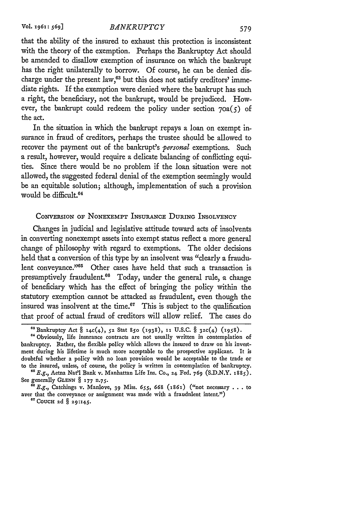that the ability of the insured to exhaust this protection is inconsistent with the theory of the exemption. Perhaps the Bankruptcy Act should be amended to disallow exemption of insurance on which the bankrupt has the right unilaterally to borrow. Of course, he can be denied discharge under the present law,<sup>63</sup> but this does not satisfy creditors' immediate rights. If the exemption were denied where the bankrupt has such a right, the beneficiary, not the bankrupt, would be prejudiced. However, the bankrupt could redeem the policy under section  $70a(5)$  of the act.

In the situation in which the bankrupt repays a loan on exempt insurance in fraud of creditors, perhaps the trustee should be allowed to recover the payment out of the bankrupt's *personal* exemptions. Such a result, however, would require a delicate balancing of conflicting equities. Since there would be no problem if the loan situation were not allowed, the suggested federal denial of the exemption seemingly would be an equitable solution; although, implementation of such a provision would be difficult.64

#### CONVERSION OF **NONEXEMPT INSURANCE** DURING INSOLVENCY

Changes in judicial and legislative attitude toward acts of insolvents in converting nonexempt assets into exempt status reflect a more general change of philosophy with regard to exemptions. The older decisions held that a conversion of this type by an insolvent was "clearly a fraudulent conveyance."<sup>65</sup> Other cases have held that such a transaction is presumptively fraudulent.<sup>66</sup> Today, under the general rule, a change of beneficiary which has the effect of bringing the policy within the statutory exemption cannot be attacked as fraudulent, even though the insured was insolvent at the time.<sup>67</sup> This is subject to the qualification that proof of actual fraud of creditors will allow relief. The cases do

<sup>&</sup>quot;Bankruptcy **Act** § 14c(4), **5z** Stat **850 (938), 11 U.S.C.** § 32c(4) (1958).

**<sup>&</sup>quot;** Obviously, life insurance contracts are not usually written in contemplation of bankruptcy. Rather, the flexible policy which allows the insured to draw on his investment during his lifetime is much more acceptable to the prospective applicant. It is doubtful whether a policy with no loan provision would be acceptable to the trade or to the insured, unless, of course, the policy is written in contemplation of bankruptcy.

**<sup>&</sup>quot;** E.g., Aetna Nat'l Bank v. Manhattan Life Ins. **Co., 24** Fed. *769* **(S.D.N.Y. 1885). See** generally **GLENN** § **177** *n.75.*

<sup>&</sup>quot;E.g., Catchings v. Manlove, **39** Miss. **655,** *668* (1861) ("not necessary .. .to aver that the conveyance or assignment was made with a fraudulent intent.") <sup>er</sup> COUCH 2d § 29:145.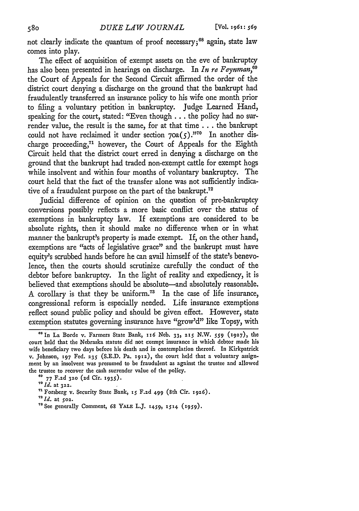not clearly indicate the quantum of proof necessary;<sup>68</sup> again, state law comes into play.

The effect of acquisition of exempt assets on the eve of bankruptcy has also been presented in hearings on discharge. In *In re Feynman,"* the Court of Appeals for the Second Circuit affirmed the order of the district court denying a discharge on the ground that the bankrupt had fraudulently transferred an insurance policy to his wife one month prior to filing a voluntary petition in bankruptcy. Judge Learned Hand, speaking for the court, stated: "Even though **...** the policy had no surrender value, the result is the same, for at that time **...** the bankrupt could not have reclaimed it under section 70a(5).<sup>370</sup> In another discharge proceeding,<sup>71</sup> however, the Court of Appeals for the Eighth Circuit held that the district court erred in denying a discharge on the ground that the bankrupt had traded non-exempt cattle for exempt hogs while insolvent and within four months of voluntary bankruptcy. The court held that the fact of the transfer alone was not sufficiently indicative of a fraudulent purpose on the part of the bankrupt.<sup>72</sup>

Judicial difference of opinion on the question of pre-bankruptcy conversions possibly reflects a more basic conflict over the status of exemptions in bankruptcy law. If exemptions are considered to be absolute rights, then it should make no difference when or in what manner the bankrupt's property is made exempt. If, on the other hand, exemptions are "acts of legislative grace" and the bankrupt must have equity's scrubbed hands before he can avail himself of the state's benevolence, then the courts should scrutinize carefully the conduct of the debtor before bankruptcy. In the light of reality and expediency, it is believed that exemptions should be absolute-and absolutely reasonable. A corollary is that they be uniform.<sup>73</sup> In the case of life insurance, congressional reform is especially needed. Life insurance exemptions reflect sound public policy and should be given effect. However, state exemption statutes governing insurance have "grow'd" like Topsy, with

**<sup>68</sup>**In La Borde v. Farmers State Bank, ix6 **Neb.** 33, **2z5** N.W. *559* **(1927),** the court held that the Nebraska statute did not exempt insurance in which debtor made his wife beneficiary two days before his death and in contemplation thereof. In Kirkpatrick v. Johnson, **197** Fed. **235** (S.E.D. Pa. x9z2), the court held that a voluntary assignment by an insolvent was presumed to be fraudulent as against the trustee and allowed the trustee to recover the cash surrender value of the policy. **69 77** F.2d **320** (zd Cir. **1935).**

<sup>&</sup>lt;sup>71</sup> Forsberg v. Security State Bank, 15 F.2d 499 (8th Cir. 1926).

 $1d.$  at 502.

<sup>&</sup>quot;See generally Comment, **68** YALE L.J. *x459,* **1514 (1959).**